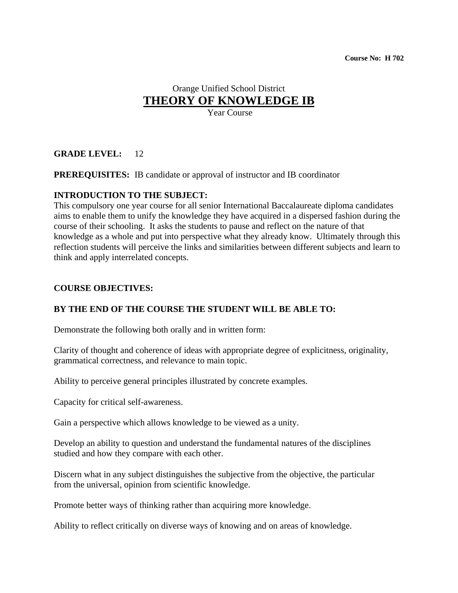## Orange Unified School District **THEORY OF KNOWLEDGE IB**

Year Course

## **GRADE LEVEL:** 12

**PREREQUISITES:** IB candidate or approval of instructor and IB coordinator

## **INTRODUCTION TO THE SUBJECT:**

This compulsory one year course for all senior International Baccalaureate diploma candidates aims to enable them to unify the knowledge they have acquired in a dispersed fashion during the course of their schooling. It asks the students to pause and reflect on the nature of that knowledge as a whole and put into perspective what they already know. Ultimately through this reflection students will perceive the links and similarities between different subjects and learn to think and apply interrelated concepts.

### **COURSE OBJECTIVES:**

## **BY THE END OF THE COURSE THE STUDENT WILL BE ABLE TO:**

Demonstrate the following both orally and in written form:

Clarity of thought and coherence of ideas with appropriate degree of explicitness, originality, grammatical correctness, and relevance to main topic.

Ability to perceive general principles illustrated by concrete examples.

Capacity for critical self-awareness.

Gain a perspective which allows knowledge to be viewed as a unity.

Develop an ability to question and understand the fundamental natures of the disciplines studied and how they compare with each other.

Discern what in any subject distinguishes the subjective from the objective, the particular from the universal, opinion from scientific knowledge.

Promote better ways of thinking rather than acquiring more knowledge.

Ability to reflect critically on diverse ways of knowing and on areas of knowledge.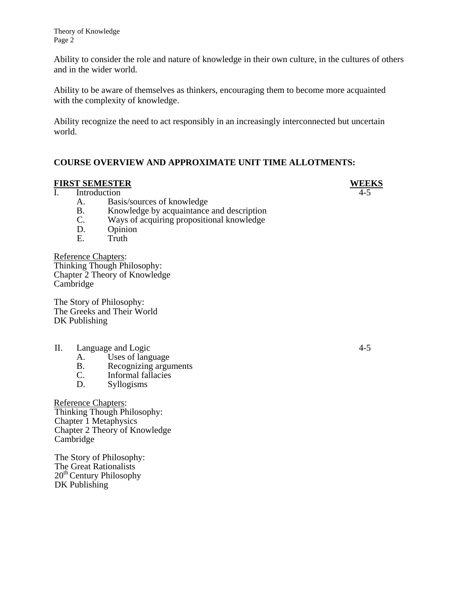Theory of Knowledge Page 2

Ability to consider the role and nature of knowledge in their own culture, in the cultures of others and in the wider world.

Ability to be aware of themselves as thinkers, encouraging them to become more acquainted with the complexity of knowledge.

Ability recognize the need to act responsibly in an increasingly interconnected but uncertain world.

### **COURSE OVERVIEW AND APPROXIMATE UNIT TIME ALLOTMENTS:**

#### **FIRST SEMESTER WEEKS**

I. Introduction 4-5

- A. Basis/sources of knowledge
- B. Knowledge by acquaintance and description
- C. Ways of acquiring propositional knowledge
- D. Opinion
- E. Truth

Reference Chapters: Thinking Though Philosophy: Chapter 2 Theory of Knowledge Cambridge

The Story of Philosophy: The Greeks and Their World DK Publishing

#### II. Language and Logic 4-5

A. Uses of language<br>B. Recognizing argu

B. Recognizing arguments<br>C. Informal fallacies

Informal fallacies

D. Syllogisms

Reference Chapters: Thinking Though Philosophy: Chapter 1 Metaphysics Chapter 2 Theory of Knowledge Cambridge

The Story of Philosophy: The Great Rationalists 20<sup>th</sup> Century Philosophy DK Publishing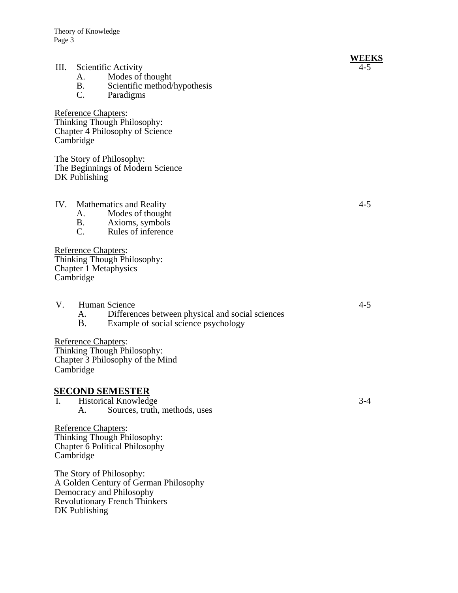Theory of Knowledge Page 3

#### **WEEKS** III. Scientific Activity 4-5

- A. Modes of thought
- B. Scientific method/hypothesis<br>C. Paradigms
- Paradigms

Reference Chapters: Thinking Though Philosophy: Chapter 4 Philosophy of Science Cambridge

The Story of Philosophy: The Beginnings of Modern Science DK Publishing

- IV. Mathematics and Reality 4-5
	- A. Modes of thought
	- B. Axioms, symbols
	- C. Rules of inference

Reference Chapters: Thinking Though Philosophy: Chapter 1 Metaphysics Cambridge

- V. Human Science 4-5
	- A. Differences between physical and social sciences
	- B. Example of social science psychology

Reference Chapters:

Thinking Though Philosophy: Chapter 3 Philosophy of the Mind Cambridge

#### **SECOND SEMESTER**

I. Historical Knowledge 3-4 A. Sources, truth, methods, uses

Reference Chapters: Thinking Though Philosophy: Chapter 6 Political Philosophy Cambridge

The Story of Philosophy: A Golden Century of German Philosophy Democracy and Philosophy Revolutionary French Thinkers DK Publishing